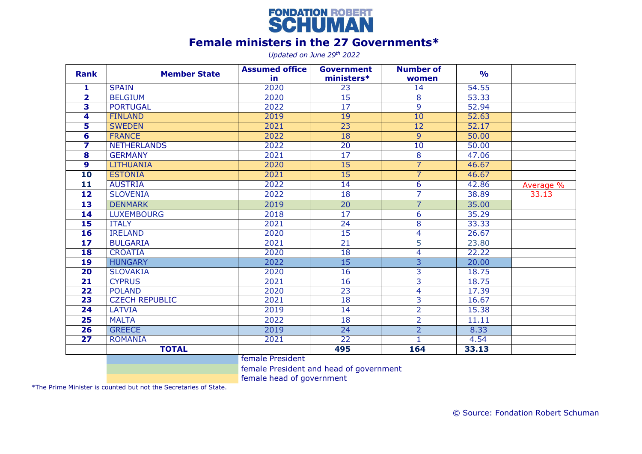

## **Female ministers in the 27 Governments\***

*Updated on June 29th 2022*

| <b>Rank</b>             | <b>Member State</b>   | <b>Assumed office</b><br>in | <b>Government</b><br>ministers* | <b>Number of</b><br>women | $\frac{9}{0}$ |           |
|-------------------------|-----------------------|-----------------------------|---------------------------------|---------------------------|---------------|-----------|
| 1                       | <b>SPAIN</b>          | 2020                        | 23                              | 14                        | 54.55         |           |
| $\overline{2}$          | <b>BELGIUM</b>        | 2020                        | 15                              | 8                         | 53.33         |           |
| 3                       | <b>PORTUGAL</b>       | 2022                        | 17                              | 9                         | 52.94         |           |
| 4                       | <b>FINLAND</b>        | 2019                        | 19                              | 10                        | 52.63         |           |
| 5                       | <b>SWEDEN</b>         | 2021                        | 23                              | 12                        | 52.17         |           |
| 6                       | <b>FRANCE</b>         | 2022                        | 18                              | $\overline{9}$            | 50.00         |           |
| 7                       | <b>NETHERLANDS</b>    | 2022                        | 20                              | 10                        | 50.00         |           |
| $\overline{\mathbf{8}}$ | <b>GERMANY</b>        | 2021                        | 17                              | $\infty$                  | 47.06         |           |
| $\overline{9}$          | <b>LITHUANIA</b>      | 2020                        | 15                              | $\overline{7}$            | 46.67         |           |
| 10                      | <b>ESTONIA</b>        | 2021                        | 15                              | 7                         | 46.67         |           |
| 11                      | <b>AUSTRIA</b>        | 2022                        | 14                              | 6                         | 42.86         | Average % |
| $\overline{12}$         | <b>SLOVENIA</b>       | 2022                        | 18                              | 7                         | 38.89         | 33.13     |
| 13                      | <b>DENMARK</b>        | 2019                        | $\overline{20}$                 | $\overline{7}$            | 35.00         |           |
| 14                      | <b>LUXEMBOURG</b>     | 2018                        | 17                              | 6                         | 35.29         |           |
| 15                      | <b>ITALY</b>          | 2021                        | 24                              | 8                         | 33.33         |           |
| 16                      | <b>IRELAND</b>        | 2020                        | 15                              | 4                         | 26.67         |           |
| 17                      | <b>BULGARIA</b>       | 2021                        | 21                              | 5                         | 23.80         |           |
| 18                      | <b>CROATIA</b>        | 2020                        | 18                              | 4                         | 22.22         |           |
| 19                      | <b>HUNGARY</b>        | 2022                        | 15                              | $\overline{3}$            | 20.00         |           |
| $\overline{20}$         | <b>SLOVAKIA</b>       | 2020                        | 16                              | 3                         | 18.75         |           |
| 21                      | <b>CYPRUS</b>         | 2021                        | 16                              | 3                         | 18.75         |           |
| $\overline{22}$         | <b>POLAND</b>         | 2020                        | 23                              | 4                         | 17.39         |           |
| 23                      | <b>CZECH REPUBLIC</b> | 2021                        | 18                              | $\overline{3}$            | 16.67         |           |
| 24                      | <b>LATVIA</b>         | 2019                        | 14                              | 2                         | 15.38         |           |
| 25                      | <b>MALTA</b>          | 2022                        | 18                              | $\overline{2}$            | 11.11         |           |
| 26                      | <b>GREECE</b>         | 2019                        | $\overline{24}$                 | $\overline{2}$            | 8.33          |           |
| $\overline{27}$         | <b>ROMANIA</b>        | 2021                        | 22                              | $\mathbf{1}$              | 4.54          |           |
|                         | <b>TOTAL</b>          |                             | 495                             | 164                       | 33.13         |           |
|                         |                       | female President            |                                 |                           |               |           |

female President and head of government

female head of government

\*The Prime Minister is counted but not the Secretaries of State.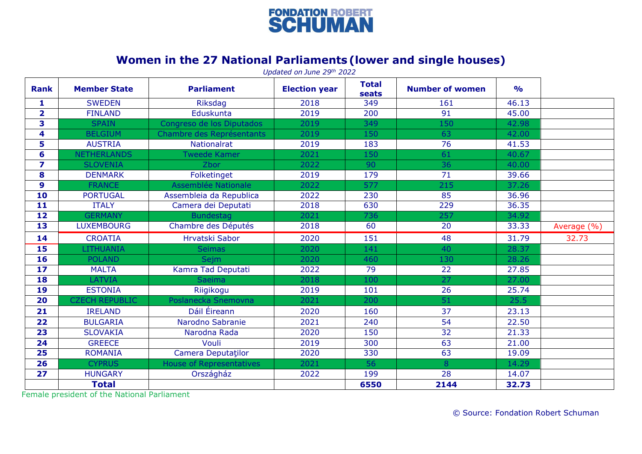

## **Women in the 27 National Parliaments (lower and single houses)**

|                         |                       |                                 | Updated on June 29th 2022 |                       |                        |               |             |
|-------------------------|-----------------------|---------------------------------|---------------------------|-----------------------|------------------------|---------------|-------------|
| <b>Rank</b>             | <b>Member State</b>   | <b>Parliament</b>               | <b>Election year</b>      | <b>Total</b><br>seats | <b>Number of women</b> | $\frac{1}{2}$ |             |
| $\mathbf{1}$            | <b>SWEDEN</b>         | <b>Riksdag</b>                  | 2018                      | 349                   | 161                    | 46.13         |             |
| $\overline{2}$          | <b>FINLAND</b>        | Eduskunta                       | 2019                      | 200                   | 91                     | 45.00         |             |
| 3                       | <b>SPAIN</b>          | Congreso de los Diputados       | 2019                      | 349                   | 150                    | 42.98         |             |
| 4                       | <b>BELGIUM</b>        | Chambre des Représentants       | 2019                      | 150                   | 63                     | 42.00         |             |
| 5                       | <b>AUSTRIA</b>        | <b>Nationalrat</b>              | 2019                      | 183                   | 76                     | 41.53         |             |
| 6                       | <b>NETHERLANDS</b>    | <b>Tweede Kamer</b>             | 2021                      | 150                   | 61                     | 40.67         |             |
| $\overline{\mathbf{z}}$ | <b>SLOVENIA</b>       | Zbor                            | 2022                      | 90                    | $\overline{36}$        | 40.00         |             |
| 8                       | <b>DENMARK</b>        | Folketinget                     | 2019                      | 179                   | $\overline{71}$        | 39.66         |             |
| 9                       | <b>FRANCE</b>         | Assemblée Nationale             | 2022                      | 577                   | $\overline{215}$       | 37.26         |             |
| 10                      | <b>PORTUGAL</b>       | Assembleia da Republica         | 2022                      | 230                   | 85                     | 36.96         |             |
| $\overline{11}$         | <b>ITALY</b>          | Camera dei Deputati             | 2018                      | 630                   | 229                    | 36.35         |             |
| 12                      | <b>GERMANY</b>        | <b>Bundestag</b>                | 2021                      | 736                   | 257                    | 34.92         |             |
| 13                      | <b>LUXEMBOURG</b>     | Chambre des Députés             | 2018                      | 60                    | 20                     | 33.33         | Average (%) |
| 14                      | <b>CROATIA</b>        | Hrvatski Sabor                  | 2020                      | 151                   | 48                     | 31.79         | 32.73       |
| 15                      | <b>LITHUANIA</b>      | <b>Seimas</b>                   | 2020                      | 141                   | 40                     | 28.37         |             |
| 16                      | <b>POLAND</b>         | <b>Sejm</b>                     | 2020                      | 460                   | 130                    | 28.26         |             |
| $\overline{17}$         | <b>MALTA</b>          | Kamra Tad Deputati              | 2022                      | 79                    | $\overline{22}$        | 27.85         |             |
| 18                      | <b>LATVIA</b>         | <b>Saeima</b>                   | 2018                      | 100                   | 27                     | 27.00         |             |
| 19                      | <b>ESTONIA</b>        | Riigikogu                       | 2019                      | 101                   | $\overline{26}$        | 25.74         |             |
| 20                      | <b>CZECH REPUBLIC</b> | Poslanecka Snemovna             | 2021                      | 200                   | 51                     | 25.5          |             |
| 21                      | <b>IRELAND</b>        | Dáil Éireann                    | 2020                      | 160                   | 37                     | 23.13         |             |
| 22                      | <b>BULGARIA</b>       | Narodno Sabranie                | 2021                      | 240                   | 54                     | 22.50         |             |
| 23                      | <b>SLOVAKIA</b>       | Narodna Rada                    | 2020                      | 150                   | 32                     | 21.33         |             |
| 24                      | <b>GREECE</b>         | Vouli                           | 2019                      | 300                   | 63                     | 21.00         |             |
| 25                      | <b>ROMANIA</b>        | <b>Camera Deputatilor</b>       | 2020                      | 330                   | 63                     | 19.09         |             |
| $\overline{26}$         | <b>CYPRUS</b>         | <b>House of Representatives</b> | 2021                      | 56                    | 8                      | 14.29         |             |
| 27                      | <b>HUNGARY</b>        | Országház                       | 2022                      | 199                   | 28                     | 14.07         |             |
|                         | <b>Total</b>          |                                 |                           | 6550                  | 2144                   | 32.73         |             |

Female president of the National Parliament